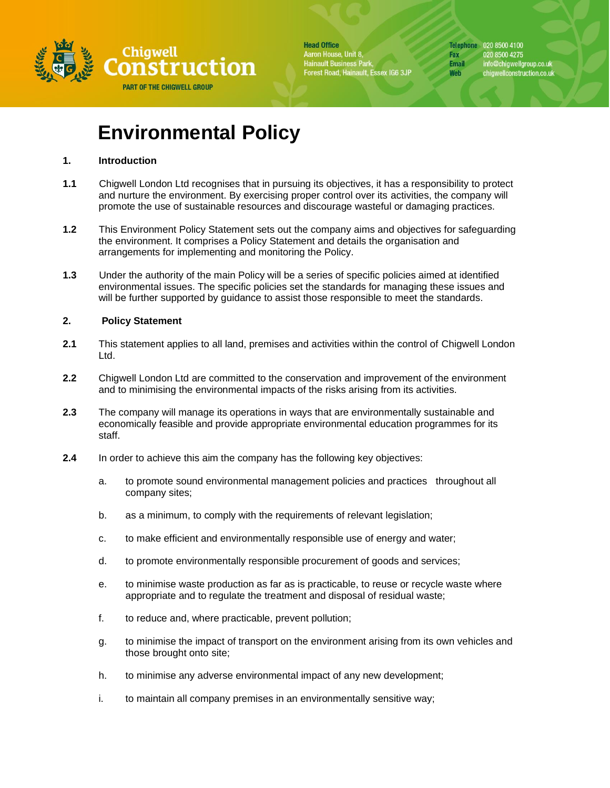

**Head Office** Aaron House, Unit 8, Hainault Business Park,<br>Forest Road, Hainault, Essex IG6 3JP Telephone 020 8500 4100 Fax 020 8500 4275 **Email** info@chigwellgroup.co.uk<br>chigwellconstruction.co.uk **Web** 

# **Environmental Policy**

# **1. Introduction**

- **1.1** Chigwell London Ltd recognises that in pursuing its objectives, it has a responsibility to protect and nurture the environment. By exercising proper control over its activities, the company will promote the use of sustainable resources and discourage wasteful or damaging practices.
- **1.2** This Environment Policy Statement sets out the company aims and objectives for safeguarding the environment. It comprises a Policy Statement and details the organisation and arrangements for implementing and monitoring the Policy.
- **1.3** Under the authority of the main Policy will be a series of specific policies aimed at identified environmental issues. The specific policies set the standards for managing these issues and will be further supported by guidance to assist those responsible to meet the standards.

# **2. Policy Statement**

- **2.1** This statement applies to all land, premises and activities within the control of Chigwell London Ltd.
- **2.2** Chigwell London Ltd are committed to the conservation and improvement of the environment and to minimising the environmental impacts of the risks arising from its activities.
- **2.3** The company will manage its operations in ways that are environmentally sustainable and economically feasible and provide appropriate environmental education programmes for its staff.
- **2.4** In order to achieve this aim the company has the following key objectives:
	- a. to promote sound environmental management policies and practices throughout all company sites;
	- b. as a minimum, to comply with the requirements of relevant legislation;
	- c. to make efficient and environmentally responsible use of energy and water;
	- d. to promote environmentally responsible procurement of goods and services;
	- e. to minimise waste production as far as is practicable, to reuse or recycle waste where appropriate and to regulate the treatment and disposal of residual waste;
	- f. to reduce and, where practicable, prevent pollution;
	- g. to minimise the impact of transport on the environment arising from its own vehicles and those brought onto site;
	- h. to minimise any adverse environmental impact of any new development;
	- i. to maintain all company premises in an environmentally sensitive way;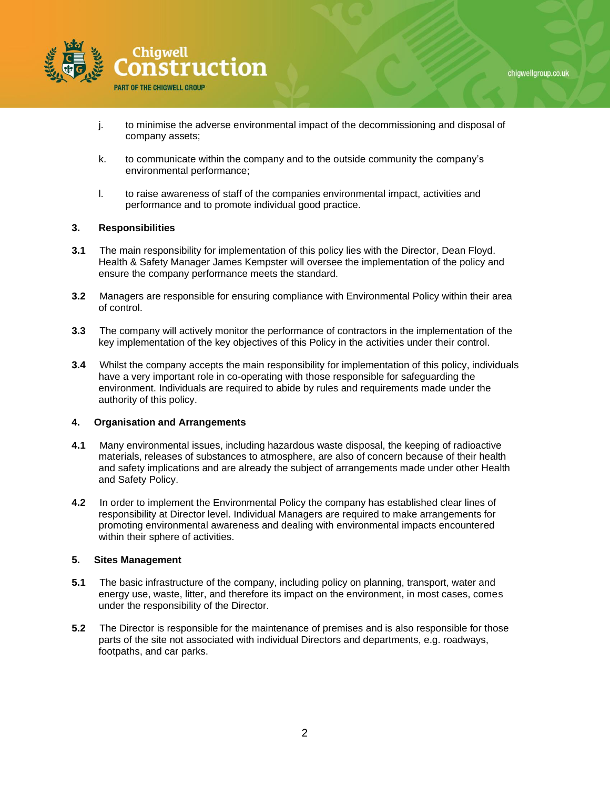



- j. to minimise the adverse environmental impact of the decommissioning and disposal of company assets;
- k. to communicate within the company and to the outside community the company's environmental performance;
- l. to raise awareness of staff of the companies environmental impact, activities and performance and to promote individual good practice.

# **3. Responsibilities**

- **3.1** The main responsibility for implementation of this policy lies with the Director, Dean Floyd. Health & Safety Manager James Kempster will oversee the implementation of the policy and ensure the company performance meets the standard.
- **3.2** Managers are responsible for ensuring compliance with Environmental Policy within their area of control.
- **3.3** The company will actively monitor the performance of contractors in the implementation of the key implementation of the key objectives of this Policy in the activities under their control.
- **3.4** Whilst the company accepts the main responsibility for implementation of this policy, individuals have a very important role in co-operating with those responsible for safeguarding the environment. Individuals are required to abide by rules and requirements made under the authority of this policy.

## **4. Organisation and Arrangements**

- **4.1** Many environmental issues, including hazardous waste disposal, the keeping of radioactive materials, releases of substances to atmosphere, are also of concern because of their health and safety implications and are already the subject of arrangements made under other Health and Safety Policy.
- **4.2** In order to implement the Environmental Policy the company has established clear lines of responsibility at Director level. Individual Managers are required to make arrangements for promoting environmental awareness and dealing with environmental impacts encountered within their sphere of activities.

## **5. Sites Management**

- **5.1** The basic infrastructure of the company, including policy on planning, transport, water and energy use, waste, litter, and therefore its impact on the environment, in most cases, comes under the responsibility of the Director.
- **5.2** The Director is responsible for the maintenance of premises and is also responsible for those parts of the site not associated with individual Directors and departments, e.g. roadways, footpaths, and car parks.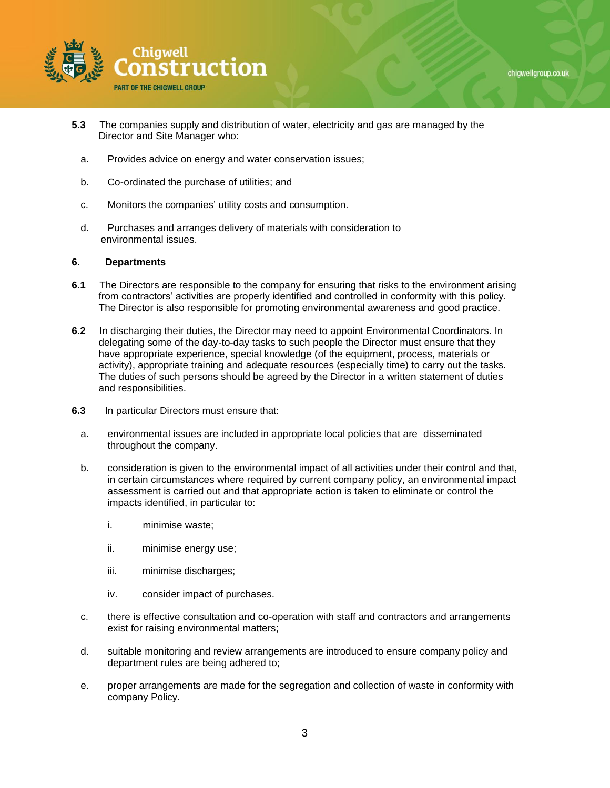



- **5.3** The companies supply and distribution of water, electricity and gas are managed by the Director and Site Manager who:
	- a. Provides advice on energy and water conservation issues;
	- b. Co-ordinated the purchase of utilities; and
	- c. Monitors the companies' utility costs and consumption.
	- d. Purchases and arranges delivery of materials with consideration to environmental issues.

# **6. Departments**

- **6.1** The Directors are responsible to the company for ensuring that risks to the environment arising from contractors' activities are properly identified and controlled in conformity with this policy. The Director is also responsible for promoting environmental awareness and good practice.
- **6.2** In discharging their duties, the Director may need to appoint Environmental Coordinators. In delegating some of the day-to-day tasks to such people the Director must ensure that they have appropriate experience, special knowledge (of the equipment, process, materials or activity), appropriate training and adequate resources (especially time) to carry out the tasks. The duties of such persons should be agreed by the Director in a written statement of duties and responsibilities.
- **6.3** In particular Directors must ensure that:
	- a. environmental issues are included in appropriate local policies that are disseminated throughout the company.
	- b. consideration is given to the environmental impact of all activities under their control and that, in certain circumstances where required by current company policy, an environmental impact assessment is carried out and that appropriate action is taken to eliminate or control the impacts identified, in particular to:
		- i. minimise waste;
		- ii. minimise energy use;
		- iii. minimise discharges;
		- iv. consider impact of purchases.
	- c. there is effective consultation and co-operation with staff and contractors and arrangements exist for raising environmental matters;
	- d. suitable monitoring and review arrangements are introduced to ensure company policy and department rules are being adhered to;
	- e. proper arrangements are made for the segregation and collection of waste in conformity with company Policy.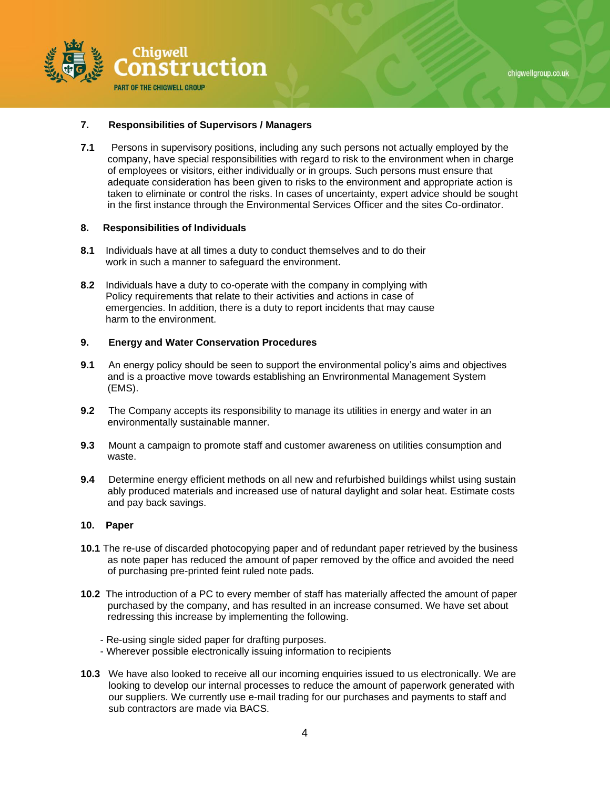

#### **7. Responsibilities of Supervisors / Managers**

**7.1** Persons in supervisory positions, including any such persons not actually employed by the company, have special responsibilities with regard to risk to the environment when in charge of employees or visitors, either individually or in groups. Such persons must ensure that adequate consideration has been given to risks to the environment and appropriate action is taken to eliminate or control the risks. In cases of uncertainty, expert advice should be sought in the first instance through the Environmental Services Officer and the sites Co-ordinator.

#### **8. Responsibilities of Individuals**

- **8.1** Individuals have at all times a duty to conduct themselves and to do their work in such a manner to safeguard the environment.
- **8.2** Individuals have a duty to co-operate with the company in complying with Policy requirements that relate to their activities and actions in case of emergencies. In addition, there is a duty to report incidents that may cause harm to the environment.

#### **9. Energy and Water Conservation Procedures**

- **9.1** An energy policy should be seen to support the environmental policy's aims and objectives and is a proactive move towards establishing an Envrironmental Management System (EMS).
- **9.2** The Company accepts its responsibility to manage its utilities in energy and water in an environmentally sustainable manner.
- **9.3** Mount a campaign to promote staff and customer awareness on utilities consumption and waste.
- **9.4** Determine energy efficient methods on all new and refurbished buildings whilst using sustain ably produced materials and increased use of natural daylight and solar heat. Estimate costs and pay back savings.

### **10. Paper**

- **10.1** The re-use of discarded photocopying paper and of redundant paper retrieved by the business as note paper has reduced the amount of paper removed by the office and avoided the need of purchasing pre-printed feint ruled note pads.
- **10.2** The introduction of a PC to every member of staff has materially affected the amount of paper purchased by the company, and has resulted in an increase consumed. We have set about redressing this increase by implementing the following.
	- Re-using single sided paper for drafting purposes.
	- Wherever possible electronically issuing information to recipients
- **10.3** We have also looked to receive all our incoming enquiries issued to us electronically. We are looking to develop our internal processes to reduce the amount of paperwork generated with our suppliers. We currently use e-mail trading for our purchases and payments to staff and sub contractors are made via BACS.